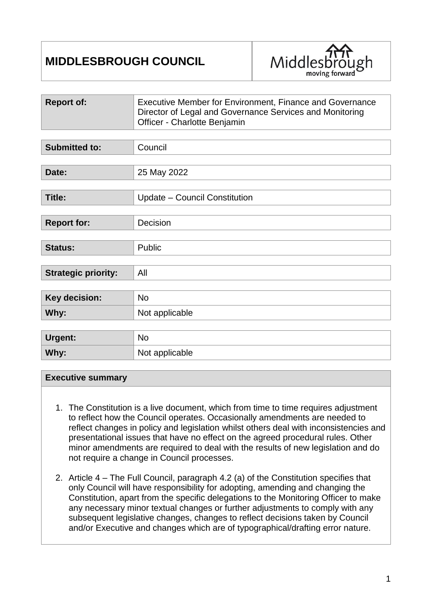# **MIDDLESBROUGH COUNCIL**



| <b>Report of:</b>          | Executive Member for Environment, Finance and Governance<br>Director of Legal and Governance Services and Monitoring<br>Officer - Charlotte Benjamin |  |
|----------------------------|------------------------------------------------------------------------------------------------------------------------------------------------------|--|
|                            |                                                                                                                                                      |  |
| <b>Submitted to:</b>       | Council                                                                                                                                              |  |
|                            |                                                                                                                                                      |  |
| Date:                      | 25 May 2022                                                                                                                                          |  |
|                            |                                                                                                                                                      |  |
| <b>Title:</b>              | Update - Council Constitution                                                                                                                        |  |
|                            |                                                                                                                                                      |  |
| <b>Report for:</b>         | Decision                                                                                                                                             |  |
|                            |                                                                                                                                                      |  |
| <b>Status:</b>             | Public                                                                                                                                               |  |
|                            |                                                                                                                                                      |  |
| <b>Strategic priority:</b> | All                                                                                                                                                  |  |
|                            |                                                                                                                                                      |  |
| Key decision:              | <b>No</b>                                                                                                                                            |  |
| Why:                       | Not applicable                                                                                                                                       |  |
|                            |                                                                                                                                                      |  |
| Urgent:                    | <b>No</b>                                                                                                                                            |  |
| Why:                       | Not applicable                                                                                                                                       |  |

#### **Executive summary**

- 1. The Constitution is a live document, which from time to time requires adjustment to reflect how the Council operates. Occasionally amendments are needed to reflect changes in policy and legislation whilst others deal with inconsistencies and presentational issues that have no effect on the agreed procedural rules. Other minor amendments are required to deal with the results of new legislation and do not require a change in Council processes.
- 2. Article 4 The Full Council, paragraph 4.2 (a) of the Constitution specifies that only Council will have responsibility for adopting, amending and changing the Constitution, apart from the specific delegations to the Monitoring Officer to make any necessary minor textual changes or further adjustments to comply with any subsequent legislative changes, changes to reflect decisions taken by Council and/or Executive and changes which are of typographical/drafting error nature.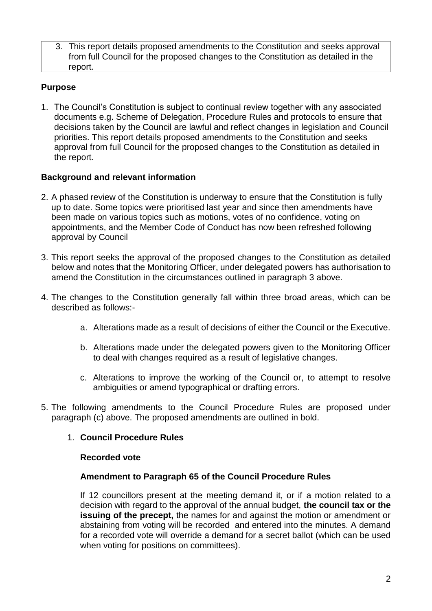3. This report details proposed amendments to the Constitution and seeks approval from full Council for the proposed changes to the Constitution as detailed in the report.

# **Purpose**

1. The Council's Constitution is subject to continual review together with any associated documents e.g. Scheme of Delegation, Procedure Rules and protocols to ensure that decisions taken by the Council are lawful and reflect changes in legislation and Council priorities. This report details proposed amendments to the Constitution and seeks approval from full Council for the proposed changes to the Constitution as detailed in the report.

# **Background and relevant information**

- 2. A phased review of the Constitution is underway to ensure that the Constitution is fully up to date. Some topics were prioritised last year and since then amendments have been made on various topics such as motions, votes of no confidence, voting on appointments, and the Member Code of Conduct has now been refreshed following approval by Council
- 3. This report seeks the approval of the proposed changes to the Constitution as detailed below and notes that the Monitoring Officer, under delegated powers has authorisation to amend the Constitution in the circumstances outlined in paragraph 3 above.
- 4. The changes to the Constitution generally fall within three broad areas, which can be described as follows:
	- a. Alterations made as a result of decisions of either the Council or the Executive.
	- b. Alterations made under the delegated powers given to the Monitoring Officer to deal with changes required as a result of legislative changes.
	- c. Alterations to improve the working of the Council or, to attempt to resolve ambiguities or amend typographical or drafting errors.
- 5. The following amendments to the Council Procedure Rules are proposed under paragraph (c) above. The proposed amendments are outlined in bold.

# 1. **Council Procedure Rules**

#### **Recorded vote**

#### **Amendment to Paragraph 65 of the Council Procedure Rules**

If 12 councillors present at the meeting demand it, or if a motion related to a decision with regard to the approval of the annual budget, **the council tax or the issuing of the precept,** the names for and against the motion or amendment or abstaining from voting will be recorded and entered into the minutes. A demand for a recorded vote will override a demand for a secret ballot (which can be used when voting for positions on committees).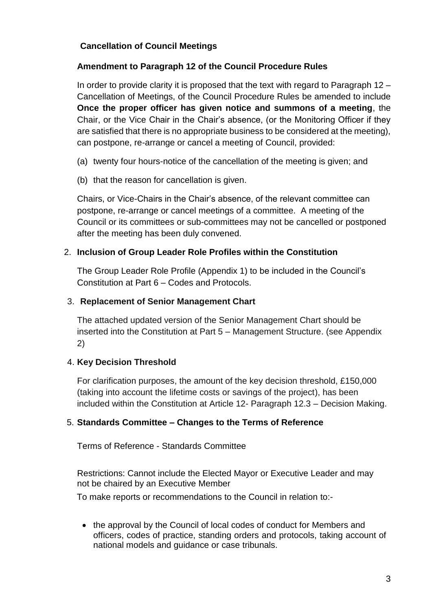# **Cancellation of Council Meetings**

# **Amendment to Paragraph 12 of the Council Procedure Rules**

In order to provide clarity it is proposed that the text with regard to Paragraph  $12 -$ Cancellation of Meetings, of the Council Procedure Rules be amended to include **Once the proper officer has given notice and summons of a meeting**, the Chair, or the Vice Chair in the Chair's absence, (or the Monitoring Officer if they are satisfied that there is no appropriate business to be considered at the meeting), can postpone, re-arrange or cancel a meeting of Council, provided:

- (a) twenty four hours-notice of the cancellation of the meeting is given; and
- (b) that the reason for cancellation is given.

Chairs, or Vice-Chairs in the Chair's absence, of the relevant committee can postpone, re-arrange or cancel meetings of a committee. A meeting of the Council or its committees or sub-committees may not be cancelled or postponed after the meeting has been duly convened.

#### 2. **Inclusion of Group Leader Role Profiles within the Constitution**

The Group Leader Role Profile (Appendix 1) to be included in the Council's Constitution at Part 6 – Codes and Protocols.

#### 3. **Replacement of Senior Management Chart**

The attached updated version of the Senior Management Chart should be inserted into the Constitution at Part 5 – Management Structure. (see Appendix 2)

# 4. **Key Decision Threshold**

For clarification purposes, the amount of the key decision threshold, £150,000 (taking into account the lifetime costs or savings of the project), has been included within the Constitution at Article 12- Paragraph 12.3 – Decision Making.

# 5. **Standards Committee – Changes to the Terms of Reference**

Terms of Reference - Standards Committee

Restrictions: Cannot include the Elected Mayor or Executive Leader and may not be chaired by an Executive Member

To make reports or recommendations to the Council in relation to:-

• the approval by the Council of local codes of conduct for Members and officers, codes of practice, standing orders and protocols, taking account of national models and guidance or case tribunals.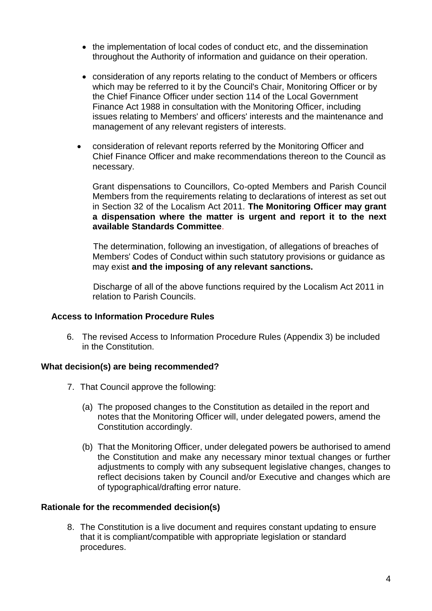- the implementation of local codes of conduct etc, and the dissemination throughout the Authority of information and guidance on their operation.
- consideration of any reports relating to the conduct of Members or officers which may be referred to it by the Council's Chair, Monitoring Officer or by the Chief Finance Officer under section 114 of the Local Government Finance Act 1988 in consultation with the Monitoring Officer, including issues relating to Members' and officers' interests and the maintenance and management of any relevant registers of interests.
- consideration of relevant reports referred by the Monitoring Officer and Chief Finance Officer and make recommendations thereon to the Council as necessary.

Grant dispensations to Councillors, Co-opted Members and Parish Council Members from the requirements relating to declarations of interest as set out in Section 32 of the Localism Act 2011. **The Monitoring Officer may grant a dispensation where the matter is urgent and report it to the next available Standards Committee**.

The determination, following an investigation, of allegations of breaches of Members' Codes of Conduct within such statutory provisions or guidance as may exist **and the imposing of any relevant sanctions.** 

Discharge of all of the above functions required by the Localism Act 2011 in relation to Parish Councils.

#### **Access to Information Procedure Rules**

6. The revised Access to Information Procedure Rules (Appendix 3) be included in the Constitution.

# **What decision(s) are being recommended?**

- 7. That Council approve the following:
	- (a) The proposed changes to the Constitution as detailed in the report and notes that the Monitoring Officer will, under delegated powers, amend the Constitution accordingly.
	- (b) That the Monitoring Officer, under delegated powers be authorised to amend the Constitution and make any necessary minor textual changes or further adjustments to comply with any subsequent legislative changes, changes to reflect decisions taken by Council and/or Executive and changes which are of typographical/drafting error nature.

#### **Rationale for the recommended decision(s)**

8. The Constitution is a live document and requires constant updating to ensure that it is compliant/compatible with appropriate legislation or standard procedures.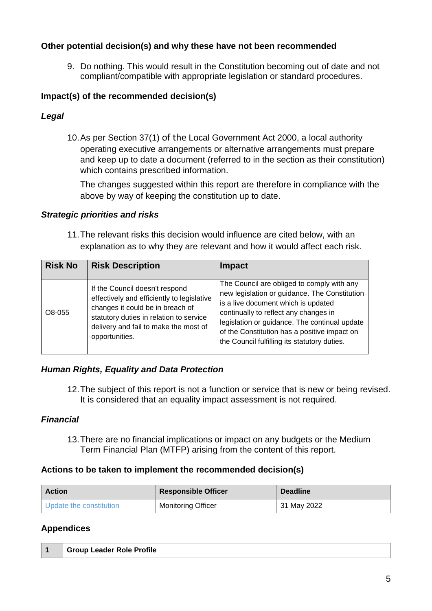# **Other potential decision(s) and why these have not been recommended**

9. Do nothing. This would result in the Constitution becoming out of date and not compliant/compatible with appropriate legislation or standard procedures.

# **Impact(s) of the recommended decision(s)**

# *Legal*

10.As per Section 37(1) of the Local Government Act 2000, a local authority operating executive arrangements or alternative arrangements must prepare and keep up to date a document (referred to in the section as their constitution) which contains prescribed information.

The changes suggested within this report are therefore in compliance with the above by way of keeping the constitution up to date.

# *Strategic priorities and risks*

11.The relevant risks this decision would influence are cited below, with an explanation as to why they are relevant and how it would affect each risk.

| <b>Risk No</b> | <b>Risk Description</b>                                                                                                                                                                                                | <b>Impact</b>                                                                                                                                                                                                                                                                                                                |
|----------------|------------------------------------------------------------------------------------------------------------------------------------------------------------------------------------------------------------------------|------------------------------------------------------------------------------------------------------------------------------------------------------------------------------------------------------------------------------------------------------------------------------------------------------------------------------|
| O8-055         | If the Council doesn't respond<br>effectively and efficiently to legislative<br>changes it could be in breach of<br>statutory duties in relation to service<br>delivery and fail to make the most of<br>opportunities. | The Council are obliged to comply with any<br>new legislation or guidance. The Constitution<br>is a live document which is updated<br>continually to reflect any changes in<br>legislation or guidance. The continual update<br>of the Constitution has a positive impact on<br>the Council fulfilling its statutory duties. |

# *Human Rights, Equality and Data Protection*

12.The subject of this report is not a function or service that is new or being revised. It is considered that an equality impact assessment is not required.

# *Financial*

13.There are no financial implications or impact on any budgets or the Medium Term Financial Plan (MTFP) arising from the content of this report.

# **Actions to be taken to implement the recommended decision(s)**

| <b>Action</b>             | <b>Responsible Officer</b> | <b>Deadline</b> |
|---------------------------|----------------------------|-----------------|
| I Update the constitution | <b>Monitoring Officer</b>  | 31 May 2022     |

# **Appendices**

| <sup>1</sup> Group Leader Role Profile |
|----------------------------------------|
|                                        |